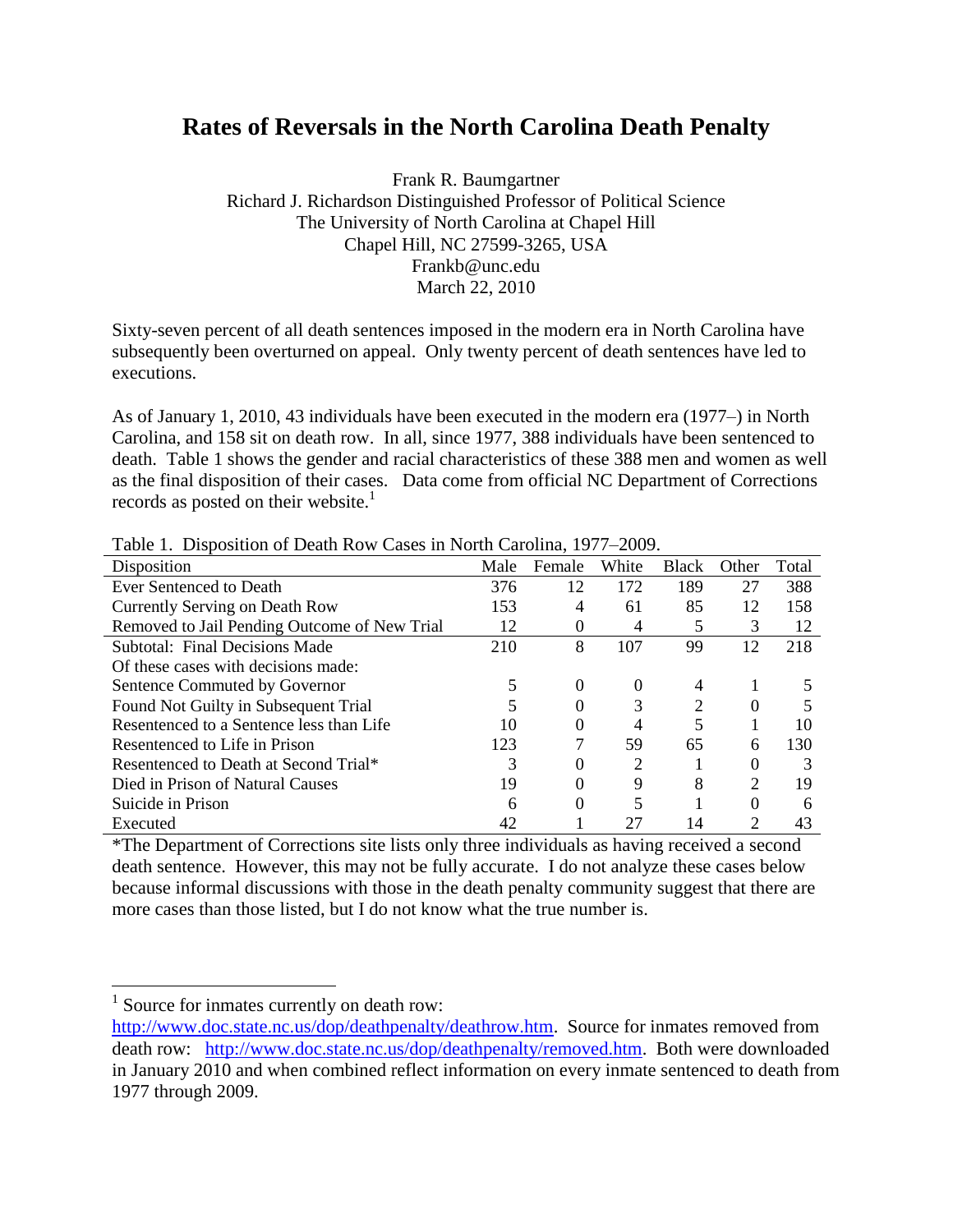# **Rates of Reversals in the North Carolina Death Penalty**

Frank R. Baumgartner Richard J. Richardson Distinguished Professor of Political Science The University of North Carolina at Chapel Hill Chapel Hill, NC 27599-3265, USA Frankb@unc.edu March 22, 2010

Sixty-seven percent of all death sentences imposed in the modern era in North Carolina have subsequently been overturned on appeal. Only twenty percent of death sentences have led to executions.

As of January 1, 2010, 43 individuals have been executed in the modern era (1977*–*) in North Carolina, and 158 sit on death row. In all, since 1977, 388 individuals have been sentenced to death. Table 1 shows the gender and racial characteristics of these 388 men and women as well as the final disposition of their cases. Data come from official NC Department of Corrections records as posted on their website. $<sup>1</sup>$ </sup>

| Disposition                                  | Male | Female | White | <b>Black</b> | Other | Total |
|----------------------------------------------|------|--------|-------|--------------|-------|-------|
| Ever Sentenced to Death                      | 376  | 12     | 172   | 189          | 27    | 388   |
| Currently Serving on Death Row               | 153  |        | 61    | 85           | 12    | 158   |
| Removed to Jail Pending Outcome of New Trial | 12   | 0      | 4     | 5            | 3     | 12    |
| <b>Subtotal: Final Decisions Made</b>        | 210  | 8      | 107   | 99           | 12    | 218   |
| Of these cases with decisions made:          |      |        |       |              |       |       |
| Sentence Commuted by Governor                |      | 0      | 0     | 4            |       |       |
| Found Not Guilty in Subsequent Trial         |      |        |       | 2            |       |       |
| Resentenced to a Sentence less than Life     | 10   | 0      | 4     | 5            |       | 10    |
| Resentenced to Life in Prison                | 123  |        | 59    | 65           | 6     | 130   |
| Resentenced to Death at Second Trial*        | 3    |        | 2     |              |       |       |
| Died in Prison of Natural Causes             | 19   |        | 9     | 8            | ↑     | 19    |
| Suicide in Prison                            | 6    |        |       |              |       | 6     |
| Executed                                     | 42   |        |       | 14           | 2     | 43    |

Table 1. Disposition of Death Row Cases in North Carolina, 1977–2009.

\*The Department of Corrections site lists only three individuals as having received a second death sentence. However, this may not be fully accurate. I do not analyze these cases below because informal discussions with those in the death penalty community suggest that there are more cases than those listed, but I do not know what the true number is.

 $\overline{a}$ 

<sup>&</sup>lt;sup>1</sup> Source for inmates currently on death row:

[http://www.doc.state.nc.us/dop/deathpenalty/deathrow.htm.](http://www.doc.state.nc.us/dop/deathpenalty/deathrow.htm) Source for inmates removed from death row: [http://www.doc.state.nc.us/dop/deathpenalty/removed.htm.](http://www.doc.state.nc.us/dop/deathpenalty/removed.htm) Both were downloaded in January 2010 and when combined reflect information on every inmate sentenced to death from 1977 through 2009.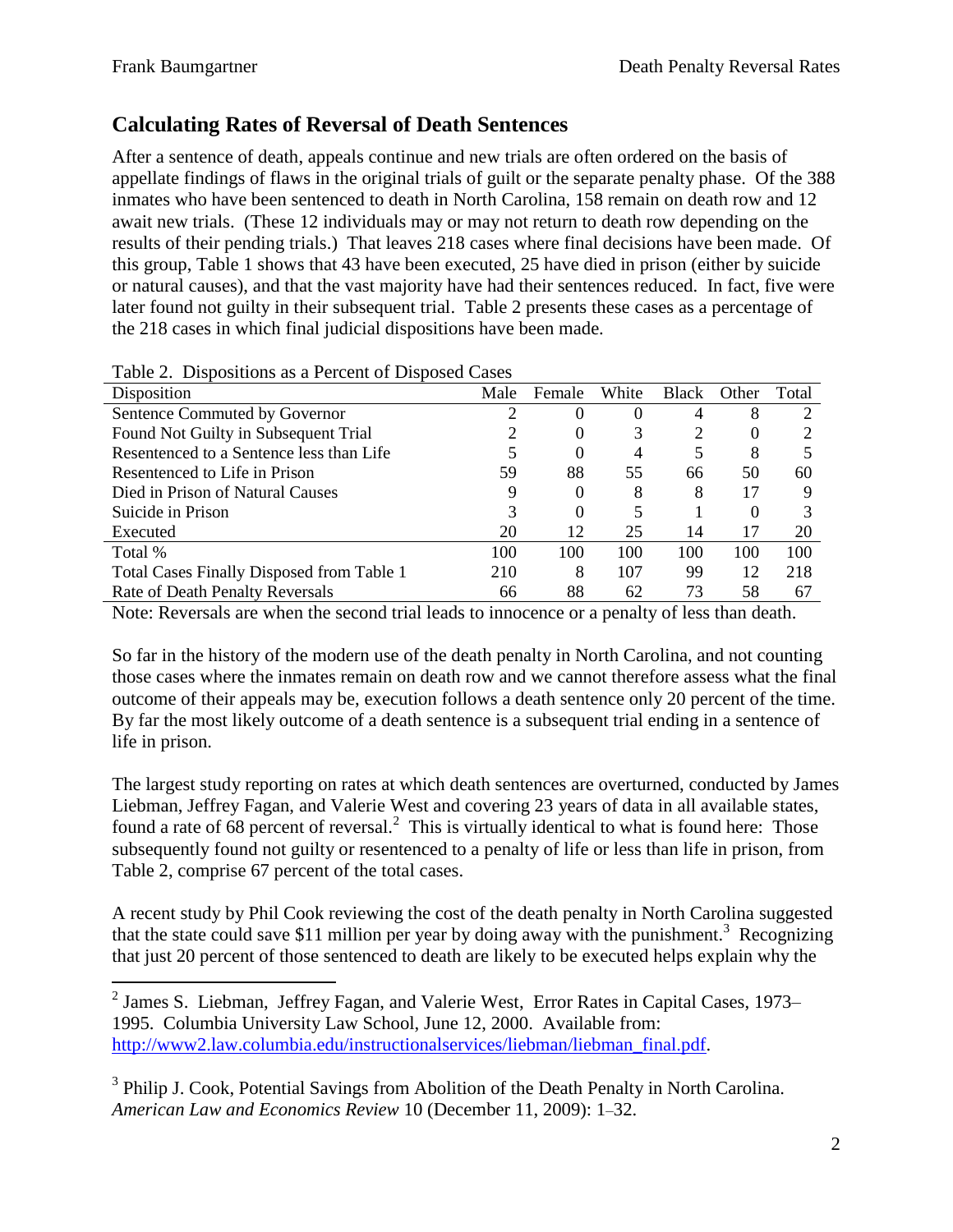### **Calculating Rates of Reversal of Death Sentences**

After a sentence of death, appeals continue and new trials are often ordered on the basis of appellate findings of flaws in the original trials of guilt or the separate penalty phase. Of the 388 inmates who have been sentenced to death in North Carolina, 158 remain on death row and 12 await new trials. (These 12 individuals may or may not return to death row depending on the results of their pending trials.) That leaves 218 cases where final decisions have been made. Of this group, Table 1 shows that 43 have been executed, 25 have died in prison (either by suicide or natural causes), and that the vast majority have had their sentences reduced. In fact, five were later found not guilty in their subsequent trial. Table 2 presents these cases as a percentage of the 218 cases in which final judicial dispositions have been made.

| Disposition                               | Male | Female   | White | <b>Black</b> | Other    | Total |
|-------------------------------------------|------|----------|-------|--------------|----------|-------|
| Sentence Commuted by Governor             |      |          |       |              | 8        |       |
| Found Not Guilty in Subsequent Trial      |      | $\theta$ | 3     |              | O        |       |
| Resentenced to a Sentence less than Life  |      | 0        | 4     |              | 8        |       |
| Resentenced to Life in Prison             | 59   | 88       | 55    | 66           | 50       | 60    |
| Died in Prison of Natural Causes          | 9    | 0        | 8     | 8            | 17       | Q     |
| Suicide in Prison                         | 3    | 0        |       |              | $\theta$ |       |
| Executed                                  | 20   | 12       | 25    | 14           | 17       | 20    |
| Total %                                   | 100  | 100      | 100   | 100          | 100      | 100   |
| Total Cases Finally Disposed from Table 1 | 210  | 8        | 107   | 99           | 12       | 218   |
| Rate of Death Penalty Reversals           | 66   | 88       | 62    | 73           | 58       | 67    |

Table 2. Dispositions as a Percent of Disposed Cases

Note: Reversals are when the second trial leads to innocence or a penalty of less than death.

So far in the history of the modern use of the death penalty in North Carolina, and not counting those cases where the inmates remain on death row and we cannot therefore assess what the final outcome of their appeals may be, execution follows a death sentence only 20 percent of the time. By far the most likely outcome of a death sentence is a subsequent trial ending in a sentence of life in prison.

The largest study reporting on rates at which death sentences are overturned, conducted by James Liebman, Jeffrey Fagan, and Valerie West and covering 23 years of data in all available states, found a rate of 68 percent of reversal.<sup>2</sup> This is virtually identical to what is found here: Those subsequently found not guilty or resentenced to a penalty of life or less than life in prison, from Table 2, comprise 67 percent of the total cases.

A recent study by Phil Cook reviewing the cost of the death penalty in North Carolina suggested that the state could save \$11 million per year by doing away with the punishment.<sup>3</sup> Recognizing that just 20 percent of those sentenced to death are likely to be executed helps explain why the

 2 James S. Liebman, Jeffrey Fagan, and Valerie West, Error Rates in Capital Cases, 1973*–* 1995. Columbia University Law School, June 12, 2000. Available from: [http://www2.law.columbia.edu/instructionalservices/liebman/liebman\\_final.pdf.](http://www2.law.columbia.edu/instructionalservices/liebman/liebman_final.pdf)

<sup>&</sup>lt;sup>3</sup> Philip J. Cook, Potential Savings from Abolition of the Death Penalty in North Carolina. *American Law and Economics Review* 10 (December 11, 2009): 1*–*32.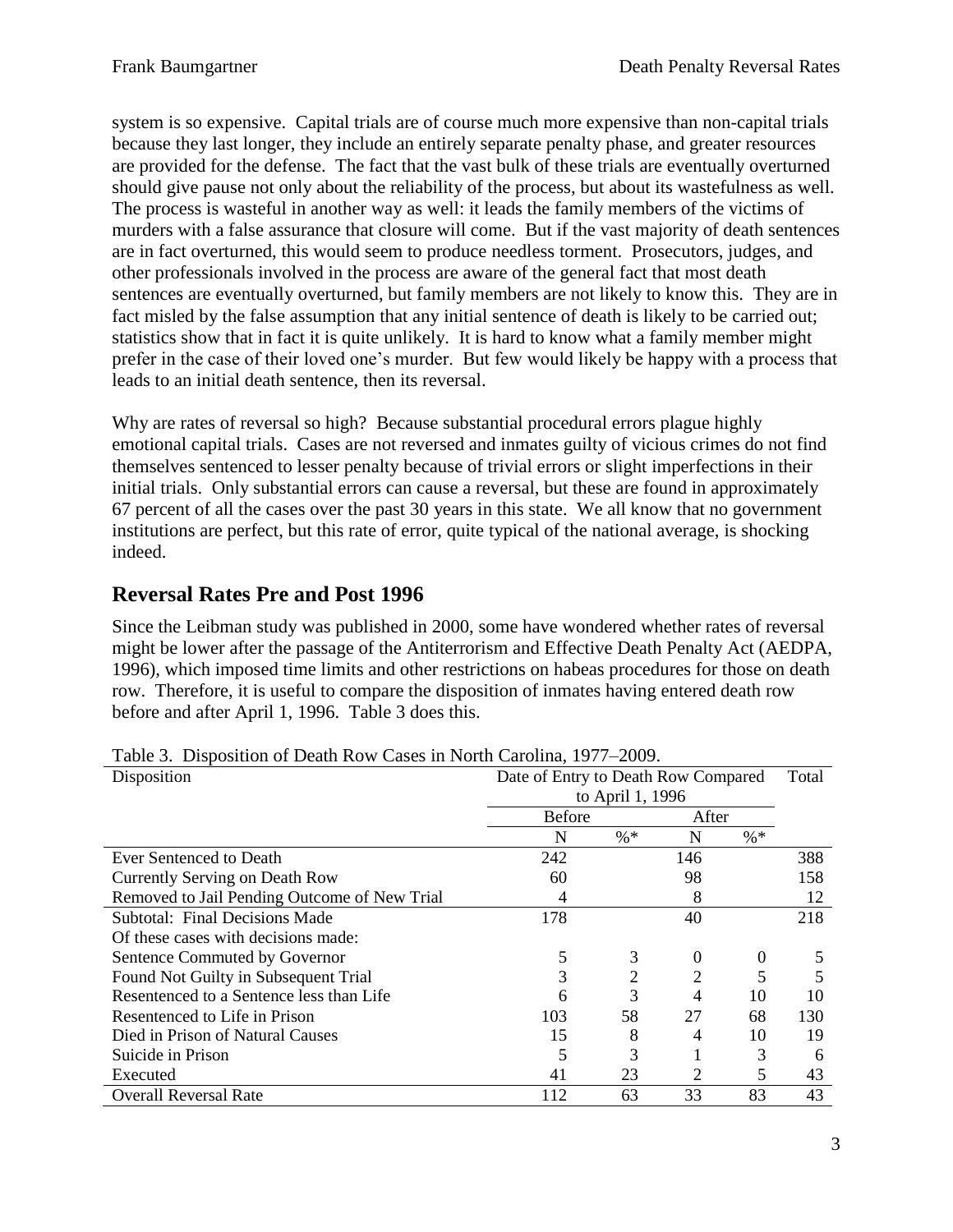system is so expensive. Capital trials are of course much more expensive than non-capital trials because they last longer, they include an entirely separate penalty phase, and greater resources are provided for the defense. The fact that the vast bulk of these trials are eventually overturned should give pause not only about the reliability of the process, but about its wastefulness as well. The process is wasteful in another way as well: it leads the family members of the victims of murders with a false assurance that closure will come. But if the vast majority of death sentences are in fact overturned, this would seem to produce needless torment. Prosecutors, judges, and other professionals involved in the process are aware of the general fact that most death sentences are eventually overturned, but family members are not likely to know this. They are in fact misled by the false assumption that any initial sentence of death is likely to be carried out; statistics show that in fact it is quite unlikely. It is hard to know what a family member might prefer in the case of their loved one's murder. But few would likely be happy with a process that leads to an initial death sentence, then its reversal.

Why are rates of reversal so high? Because substantial procedural errors plague highly emotional capital trials. Cases are not reversed and inmates guilty of vicious crimes do not find themselves sentenced to lesser penalty because of trivial errors or slight imperfections in their initial trials. Only substantial errors can cause a reversal, but these are found in approximately 67 percent of all the cases over the past 30 years in this state. We all know that no government institutions are perfect, but this rate of error, quite typical of the national average, is shocking indeed.

#### **Reversal Rates Pre and Post 1996**

Since the Leibman study was published in 2000, some have wondered whether rates of reversal might be lower after the passage of the Antiterrorism and Effective Death Penalty Act (AEDPA, 1996), which imposed time limits and other restrictions on habeas procedures for those on death row. Therefore, it is useful to compare the disposition of inmates having entered death row before and after April 1, 1996. Table 3 does this.

| Disposition                                  | Date of Entry to Death Row Compared<br>to April 1, 1996 |        |          |        | Total |
|----------------------------------------------|---------------------------------------------------------|--------|----------|--------|-------|
|                                              |                                                         |        |          |        |       |
|                                              | <b>Before</b>                                           |        | After    |        |       |
|                                              | N                                                       | $\% *$ | N        | $\% *$ |       |
| Ever Sentenced to Death                      | 242                                                     |        | 146      |        | 388   |
| Currently Serving on Death Row               | 60                                                      |        | 98       |        | 158   |
| Removed to Jail Pending Outcome of New Trial |                                                         |        | 8        |        | 12    |
| <b>Subtotal: Final Decisions Made</b>        | 178                                                     |        | 40       |        | 218   |
| Of these cases with decisions made:          |                                                         |        |          |        |       |
| Sentence Commuted by Governor                | 5                                                       | 3      | $\theta$ | 0      | 5     |
| Found Not Guilty in Subsequent Trial         |                                                         | 2      |          |        |       |
| Resentenced to a Sentence less than Life     | 6                                                       | 3      | 4        | 10     | 10    |
| Resentenced to Life in Prison                | 103                                                     | 58     | 27       | 68     | 130   |
| Died in Prison of Natural Causes             | 15                                                      | 8      | 4        | 10     | 19    |
| Suicide in Prison                            |                                                         | 3      |          | 3      | 6     |
| Executed                                     | 41                                                      | 23     | 2        | 5      | 43    |
| <b>Overall Reversal Rate</b>                 | 112                                                     | 63     | 33       | 83     | 43    |

Table 3. Disposition of Death Row Cases in North Carolina, 1977–2009.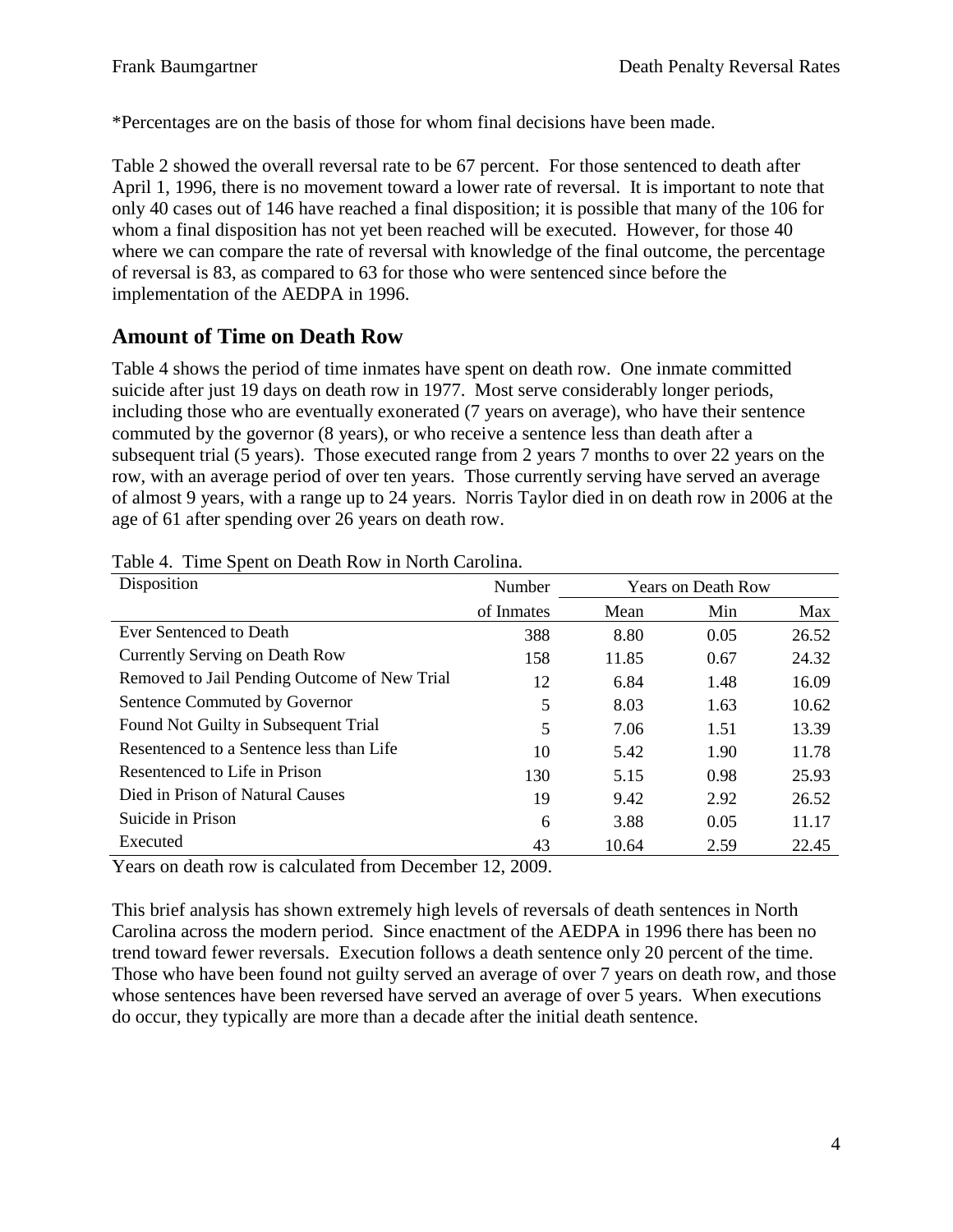\*Percentages are on the basis of those for whom final decisions have been made.

Table 2 showed the overall reversal rate to be 67 percent. For those sentenced to death after April 1, 1996, there is no movement toward a lower rate of reversal. It is important to note that only 40 cases out of 146 have reached a final disposition; it is possible that many of the 106 for whom a final disposition has not yet been reached will be executed. However, for those 40 where we can compare the rate of reversal with knowledge of the final outcome, the percentage of reversal is 83, as compared to 63 for those who were sentenced since before the implementation of the AEDPA in 1996.

#### **Amount of Time on Death Row**

Table 4 shows the period of time inmates have spent on death row. One inmate committed suicide after just 19 days on death row in 1977. Most serve considerably longer periods, including those who are eventually exonerated (7 years on average), who have their sentence commuted by the governor (8 years), or who receive a sentence less than death after a subsequent trial (5 years). Those executed range from 2 years 7 months to over 22 years on the row, with an average period of over ten years. Those currently serving have served an average of almost 9 years, with a range up to 24 years. Norris Taylor died in on death row in 2006 at the age of 61 after spending over 26 years on death row.

| Disposition                                  | Number     | <b>Years on Death Row</b> |      |       |
|----------------------------------------------|------------|---------------------------|------|-------|
|                                              | of Inmates | Mean                      | Min  | Max   |
| Ever Sentenced to Death                      | 388        | 8.80                      | 0.05 | 26.52 |
| Currently Serving on Death Row               | 158        | 11.85                     | 0.67 | 24.32 |
| Removed to Jail Pending Outcome of New Trial | 12         | 6.84                      | 1.48 | 16.09 |
| Sentence Commuted by Governor                | 5          | 8.03                      | 1.63 | 10.62 |
| Found Not Guilty in Subsequent Trial         | 5          | 7.06                      | 1.51 | 13.39 |
| Resentenced to a Sentence less than Life     | 10         | 5.42                      | 1.90 | 11.78 |
| Resentenced to Life in Prison                | 130        | 5.15                      | 0.98 | 25.93 |
| Died in Prison of Natural Causes             | 19         | 9.42                      | 2.92 | 26.52 |
| Suicide in Prison                            | 6          | 3.88                      | 0.05 | 11.17 |
| Executed                                     | 43         | 10.64                     | 2.59 | 22.45 |

Table 4. Time Spent on Death Row in North Carolina.

Years on death row is calculated from December 12, 2009.

This brief analysis has shown extremely high levels of reversals of death sentences in North Carolina across the modern period. Since enactment of the AEDPA in 1996 there has been no trend toward fewer reversals. Execution follows a death sentence only 20 percent of the time. Those who have been found not guilty served an average of over 7 years on death row, and those whose sentences have been reversed have served an average of over 5 years. When executions do occur, they typically are more than a decade after the initial death sentence.